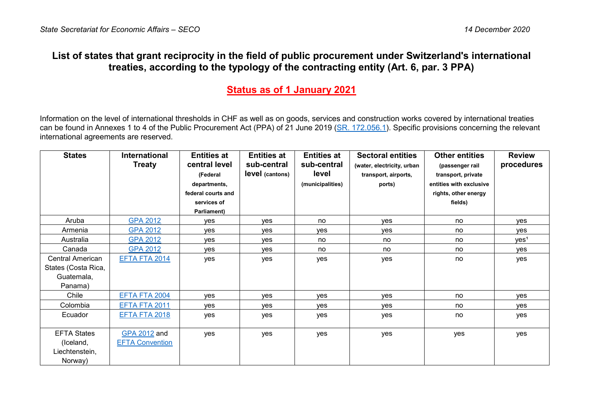## **List of states that grant reciprocity in the field of public procurement under Switzerland's international treaties, according to the typology of the contracting entity (Art. 6, par. 3 PPA)**

## **Status as of 1 January 2021**

Information on the level of international thresholds in CHF as well as on goods, services and construction works covered by international treaties can be found in Annexes 1 to 4 of the Public Procurement Act (PPA) of 21 June 2019 [\(SR. 172.056.1\)](https://www.admin.ch/opc/fr/classified-compilation/19940432/index.html). Specific provisions concerning the relevant international agreements are reserved.

| <b>States</b>       | <b>International</b>   | <b>Entities at</b> | <b>Entities at</b> | <b>Entities at</b> | <b>Sectoral entities</b>   | <b>Other entities</b>   | <b>Review</b>    |
|---------------------|------------------------|--------------------|--------------------|--------------------|----------------------------|-------------------------|------------------|
|                     | <b>Treaty</b>          | central level      | sub-central        | sub-central        | (water, electricity, urban | (passenger rail         | procedures       |
|                     |                        | (Federal           | level (cantons)    | level              | transport, airports,       | transport, private      |                  |
|                     |                        | departments,       |                    | (municipalities)   | ports)                     | entities with exclusive |                  |
|                     |                        | federal courts and |                    |                    |                            | rights, other energy    |                  |
|                     |                        | services of        |                    |                    |                            | fields)                 |                  |
|                     |                        | Parliament)        |                    |                    |                            |                         |                  |
| Aruba               | <b>GPA 2012</b>        | ves                | ves                | no                 | ves                        | no                      | <b>ves</b>       |
| Armenia             | <b>GPA 2012</b>        | yes                | ves                | <b>ves</b>         | yes                        | no                      | yes              |
| Australia           | <b>GPA 2012</b>        | yes                | yes                | no                 | no                         | no                      | yes <sup>1</sup> |
| Canada              | <b>GPA 2012</b>        | yes                | ves                | no                 | no                         | no                      | <b>ves</b>       |
| Central American    | EFTA FTA 2014          | yes                | yes                | yes                | yes                        | no                      | yes              |
| States (Costa Rica, |                        |                    |                    |                    |                            |                         |                  |
| Guatemala,          |                        |                    |                    |                    |                            |                         |                  |
| Panama)             |                        |                    |                    |                    |                            |                         |                  |
| Chile               | EFTA FTA 2004          | <b>ves</b>         | ves                | <b>ves</b>         | <b>ves</b>                 | no                      | <b>ves</b>       |
| Colombia            | EFTA FTA 2011          | yes                | ves                | <b>ves</b>         | yes                        | no                      | <b>ves</b>       |
| Ecuador             | EFTA FTA 2018          | yes                | yes                | yes                | yes                        | no                      | yes              |
|                     |                        |                    |                    |                    |                            |                         |                  |
| <b>EFTA States</b>  | GPA 2012 and           | yes                | yes                | yes                | yes                        | yes                     | yes              |
| (Iceland,           | <b>EFTA Convention</b> |                    |                    |                    |                            |                         |                  |
| Liechtenstein,      |                        |                    |                    |                    |                            |                         |                  |
| Norway)             |                        |                    |                    |                    |                            |                         |                  |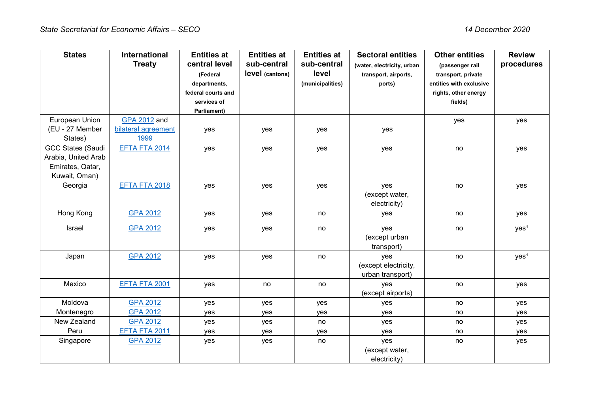| <b>States</b>            | <b>International</b><br><b>Treaty</b> | <b>Entities at</b><br>central level | <b>Entities at</b><br>sub-central | <b>Entities at</b><br>sub-central | <b>Sectoral entities</b><br>(water, electricity, urban | <b>Other entities</b><br>(passenger rail | <b>Review</b><br>procedures |
|--------------------------|---------------------------------------|-------------------------------------|-----------------------------------|-----------------------------------|--------------------------------------------------------|------------------------------------------|-----------------------------|
|                          |                                       | (Federal                            | level (cantons)                   | level                             | transport, airports,                                   | transport, private                       |                             |
|                          |                                       | departments,                        |                                   | (municipalities)                  | ports)                                                 | entities with exclusive                  |                             |
|                          |                                       | federal courts and                  |                                   |                                   |                                                        | rights, other energy                     |                             |
|                          |                                       | services of                         |                                   |                                   |                                                        | fields)                                  |                             |
|                          |                                       | Parliament)                         |                                   |                                   |                                                        |                                          |                             |
| European Union           | <b>GPA 2012 and</b>                   |                                     |                                   |                                   |                                                        | yes                                      | yes                         |
| (EU - 27 Member          | bilateral agreement                   | yes                                 | yes                               | yes                               | yes                                                    |                                          |                             |
| States)                  | 1999                                  |                                     |                                   |                                   |                                                        |                                          |                             |
| <b>GCC States (Saudi</b> | EFTA FTA 2014                         | yes                                 | yes                               | yes                               | yes                                                    | no                                       | yes                         |
| Arabia, United Arab      |                                       |                                     |                                   |                                   |                                                        |                                          |                             |
| Emirates, Qatar,         |                                       |                                     |                                   |                                   |                                                        |                                          |                             |
| Kuwait, Oman)            |                                       |                                     |                                   |                                   |                                                        |                                          |                             |
| Georgia                  | EFTA FTA 2018                         | yes                                 | yes                               | yes                               | yes                                                    | no                                       | yes                         |
|                          |                                       |                                     |                                   |                                   | (except water,                                         |                                          |                             |
|                          |                                       |                                     |                                   |                                   | electricity)                                           |                                          |                             |
| Hong Kong                | <b>GPA 2012</b>                       | yes                                 | yes                               | no                                | yes                                                    | no                                       | yes                         |
| Israel                   | <b>GPA 2012</b>                       | yes                                 | yes                               | no                                | yes                                                    | no                                       | yes <sup>1</sup>            |
|                          |                                       |                                     |                                   |                                   | (except urban                                          |                                          |                             |
|                          |                                       |                                     |                                   |                                   | transport)                                             |                                          |                             |
| Japan                    | <b>GPA 2012</b>                       | yes                                 | yes                               | no                                | yes                                                    | no                                       | yes <sup>1</sup>            |
|                          |                                       |                                     |                                   |                                   | (except electricity,                                   |                                          |                             |
|                          |                                       |                                     |                                   |                                   | urban transport)                                       |                                          |                             |
| Mexico                   | EFTA FTA 2001                         | yes                                 | no                                | no                                | yes                                                    | no                                       | yes                         |
|                          |                                       |                                     |                                   |                                   | (except airports)                                      |                                          |                             |
| Moldova                  | <b>GPA 2012</b>                       | yes                                 | yes                               | yes                               | yes                                                    | no                                       | yes                         |
| Montenegro               | <b>GPA 2012</b>                       | yes                                 | yes                               | yes                               | yes                                                    | no                                       | yes                         |
| New Zealand              | <b>GPA 2012</b>                       | yes                                 | yes                               | no                                | yes                                                    | no                                       | yes                         |
| Peru                     | EFTA FTA 2011                         | yes                                 | yes                               | yes                               | yes                                                    | no                                       | yes                         |
| Singapore                | <b>GPA 2012</b>                       | yes                                 | yes                               | no                                | yes                                                    | no                                       | yes                         |
|                          |                                       |                                     |                                   |                                   | (except water,                                         |                                          |                             |
|                          |                                       |                                     |                                   |                                   | electricity)                                           |                                          |                             |